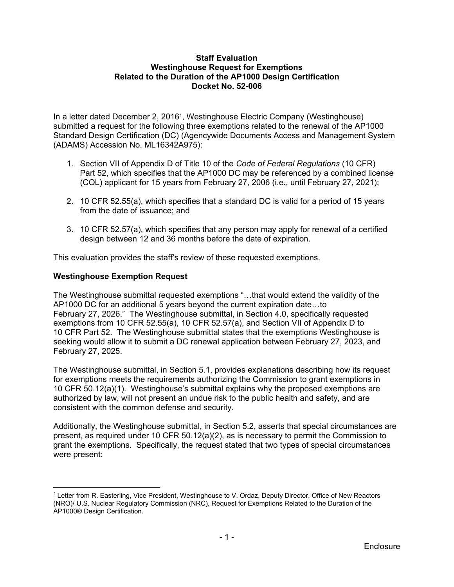### **Staff Evaluation Westinghouse Request for Exemptions Related to the Duration of the AP1000 Design Certification Docket No. 52-006**

In a letter dated December 2, 20161, Westinghouse Electric Company (Westinghouse) submitted a request for the following three exemptions related to the renewal of the AP1000 Standard Design Certification (DC) (Agencywide Documents Access and Management System (ADAMS) Accession No. ML16342A975):

- 1. Section VII of Appendix D of Title 10 of the *Code of Federal Regulations* (10 CFR) Part 52, which specifies that the AP1000 DC may be referenced by a combined license (COL) applicant for 15 years from February 27, 2006 (i.e., until February 27, 2021);
- 2. 10 CFR 52.55(a), which specifies that a standard DC is valid for a period of 15 years from the date of issuance; and
- 3. 10 CFR 52.57(a), which specifies that any person may apply for renewal of a certified design between 12 and 36 months before the date of expiration.

This evaluation provides the staff's review of these requested exemptions.

## **Westinghouse Exemption Request**

-

The Westinghouse submittal requested exemptions "…that would extend the validity of the AP1000 DC for an additional 5 years beyond the current expiration date…to February 27, 2026." The Westinghouse submittal, in Section 4.0, specifically requested exemptions from 10 CFR 52.55(a), 10 CFR 52.57(a), and Section VII of Appendix D to 10 CFR Part 52. The Westinghouse submittal states that the exemptions Westinghouse is seeking would allow it to submit a DC renewal application between February 27, 2023, and February 27, 2025.

The Westinghouse submittal, in Section 5.1, provides explanations describing how its request for exemptions meets the requirements authorizing the Commission to grant exemptions in 10 CFR 50.12(a)(1). Westinghouse's submittal explains why the proposed exemptions are authorized by law, will not present an undue risk to the public health and safety, and are consistent with the common defense and security.

Additionally, the Westinghouse submittal, in Section 5.2, asserts that special circumstances are present, as required under 10 CFR 50.12(a)(2), as is necessary to permit the Commission to grant the exemptions. Specifically, the request stated that two types of special circumstances were present:

<sup>&</sup>lt;sup>1</sup> Letter from R. Easterling, Vice President, Westinghouse to V. Ordaz, Deputy Director, Office of New Reactors (NRO)/ U.S. Nuclear Regulatory Commission (NRC), Request for Exemptions Related to the Duration of the AP1000® Design Certification.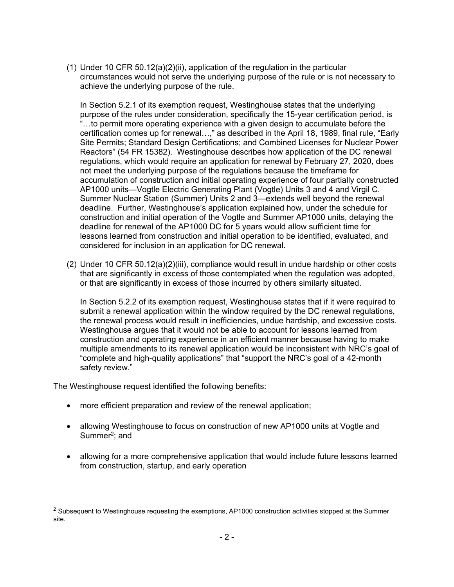(1) Under 10 CFR 50.12(a)(2)(ii), application of the regulation in the particular circumstances would not serve the underlying purpose of the rule or is not necessary to achieve the underlying purpose of the rule.

In Section 5.2.1 of its exemption request, Westinghouse states that the underlying purpose of the rules under consideration, specifically the 15-year certification period, is "…to permit more operating experience with a given design to accumulate before the certification comes up for renewal…," as described in the April 18, 1989, final rule, "Early Site Permits; Standard Design Certifications; and Combined Licenses for Nuclear Power Reactors" (54 FR 15382). Westinghouse describes how application of the DC renewal regulations, which would require an application for renewal by February 27, 2020, does not meet the underlying purpose of the regulations because the timeframe for accumulation of construction and initial operating experience of four partially constructed AP1000 units—Vogtle Electric Generating Plant (Vogtle) Units 3 and 4 and Virgil C. Summer Nuclear Station (Summer) Units 2 and 3—extends well beyond the renewal deadline. Further, Westinghouse's application explained how, under the schedule for construction and initial operation of the Vogtle and Summer AP1000 units, delaying the deadline for renewal of the AP1000 DC for 5 years would allow sufficient time for lessons learned from construction and initial operation to be identified, evaluated, and considered for inclusion in an application for DC renewal.

(2) Under 10 CFR 50.12(a)(2)(iii), compliance would result in undue hardship or other costs that are significantly in excess of those contemplated when the regulation was adopted, or that are significantly in excess of those incurred by others similarly situated.

In Section 5.2.2 of its exemption request, Westinghouse states that if it were required to submit a renewal application within the window required by the DC renewal regulations, the renewal process would result in inefficiencies, undue hardship, and excessive costs. Westinghouse argues that it would not be able to account for lessons learned from construction and operating experience in an efficient manner because having to make multiple amendments to its renewal application would be inconsistent with NRC's goal of "complete and high-quality applications" that "support the NRC's goal of a 42-month safety review."

The Westinghouse request identified the following benefits:

 $\overline{a}$ 

- more efficient preparation and review of the renewal application;
- allowing Westinghouse to focus on construction of new AP1000 units at Vogtle and Summer<sup>2</sup>; and
- allowing for a more comprehensive application that would include future lessons learned from construction, startup, and early operation

<sup>&</sup>lt;sup>2</sup> Subsequent to Westinghouse requesting the exemptions, AP1000 construction activities stopped at the Summer site.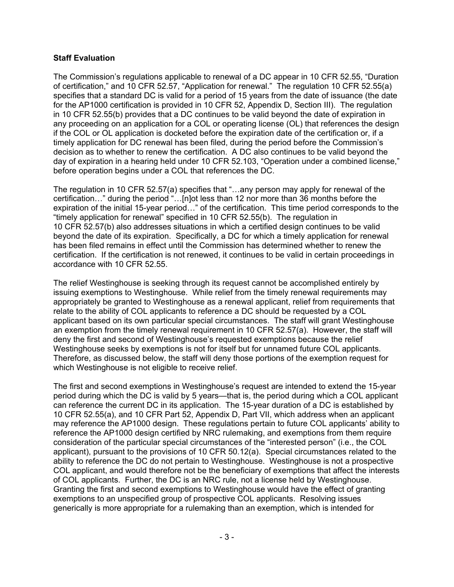### **Staff Evaluation**

The Commission's regulations applicable to renewal of a DC appear in 10 CFR 52.55, "Duration of certification," and 10 CFR 52.57, "Application for renewal." The regulation 10 CFR 52.55(a) specifies that a standard DC is valid for a period of 15 years from the date of issuance (the date for the AP1000 certification is provided in 10 CFR 52, Appendix D, Section III). The regulation in 10 CFR 52.55(b) provides that a DC continues to be valid beyond the date of expiration in any proceeding on an application for a COL or operating license (OL) that references the design if the COL or OL application is docketed before the expiration date of the certification or, if a timely application for DC renewal has been filed, during the period before the Commission's decision as to whether to renew the certification. A DC also continues to be valid beyond the day of expiration in a hearing held under 10 CFR 52.103, "Operation under a combined license," before operation begins under a COL that references the DC.

The regulation in 10 CFR 52.57(a) specifies that "…any person may apply for renewal of the certification…" during the period "…[n]ot less than 12 nor more than 36 months before the expiration of the initial 15-year period…" of the certification. This time period corresponds to the "timely application for renewal" specified in 10 CFR 52.55(b). The regulation in 10 CFR 52.57(b) also addresses situations in which a certified design continues to be valid beyond the date of its expiration. Specifically, a DC for which a timely application for renewal has been filed remains in effect until the Commission has determined whether to renew the certification. If the certification is not renewed, it continues to be valid in certain proceedings in accordance with 10 CFR 52.55.

The relief Westinghouse is seeking through its request cannot be accomplished entirely by issuing exemptions to Westinghouse. While relief from the timely renewal requirements may appropriately be granted to Westinghouse as a renewal applicant, relief from requirements that relate to the ability of COL applicants to reference a DC should be requested by a COL applicant based on its own particular special circumstances. The staff will grant Westinghouse an exemption from the timely renewal requirement in 10 CFR 52.57(a). However, the staff will deny the first and second of Westinghouse's requested exemptions because the relief Westinghouse seeks by exemptions is not for itself but for unnamed future COL applicants. Therefore, as discussed below, the staff will deny those portions of the exemption request for which Westinghouse is not eligible to receive relief.

The first and second exemptions in Westinghouse's request are intended to extend the 15-year period during which the DC is valid by 5 years—that is, the period during which a COL applicant can reference the current DC in its application. The 15-year duration of a DC is established by 10 CFR 52.55(a), and 10 CFR Part 52, Appendix D, Part VII, which address when an applicant may reference the AP1000 design. These regulations pertain to future COL applicants' ability to reference the AP1000 design certified by NRC rulemaking, and exemptions from them require consideration of the particular special circumstances of the "interested person" (i.e., the COL applicant), pursuant to the provisions of 10 CFR 50.12(a). Special circumstances related to the ability to reference the DC do not pertain to Westinghouse. Westinghouse is not a prospective COL applicant, and would therefore not be the beneficiary of exemptions that affect the interests of COL applicants. Further, the DC is an NRC rule, not a license held by Westinghouse. Granting the first and second exemptions to Westinghouse would have the effect of granting exemptions to an unspecified group of prospective COL applicants. Resolving issues generically is more appropriate for a rulemaking than an exemption, which is intended for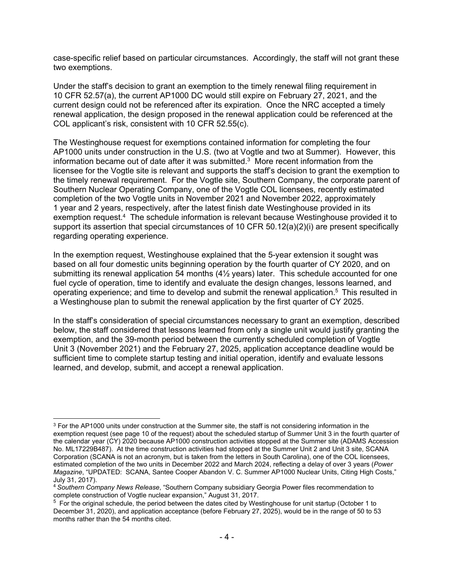case-specific relief based on particular circumstances. Accordingly, the staff will not grant these two exemptions.

Under the staff's decision to grant an exemption to the timely renewal filing requirement in 10 CFR 52.57(a), the current AP1000 DC would still expire on February 27, 2021, and the current design could not be referenced after its expiration. Once the NRC accepted a timely renewal application, the design proposed in the renewal application could be referenced at the COL applicant's risk, consistent with 10 CFR 52.55(c).

The Westinghouse request for exemptions contained information for completing the four AP1000 units under construction in the U.S. (two at Vogtle and two at Summer). However, this information became out of date after it was submitted. $3$  More recent information from the licensee for the Vogtle site is relevant and supports the staff's decision to grant the exemption to the timely renewal requirement. For the Vogtle site, Southern Company, the corporate parent of Southern Nuclear Operating Company, one of the Vogtle COL licensees, recently estimated completion of the two Vogtle units in November 2021 and November 2022, approximately 1 year and 2 years, respectively, after the latest finish date Westinghouse provided in its exemption request.4 The schedule information is relevant because Westinghouse provided it to support its assertion that special circumstances of 10 CFR 50.12(a)(2)(i) are present specifically regarding operating experience.

In the exemption request, Westinghouse explained that the 5-year extension it sought was based on all four domestic units beginning operation by the fourth quarter of CY 2020, and on submitting its renewal application 54 months (4<sup>1/2</sup> years) later. This schedule accounted for one fuel cycle of operation, time to identify and evaluate the design changes, lessons learned, and operating experience; and time to develop and submit the renewal application.5 This resulted in a Westinghouse plan to submit the renewal application by the first quarter of CY 2025.

In the staff's consideration of special circumstances necessary to grant an exemption, described below, the staff considered that lessons learned from only a single unit would justify granting the exemption, and the 39-month period between the currently scheduled completion of Vogtle Unit 3 (November 2021) and the February 27, 2025, application acceptance deadline would be sufficient time to complete startup testing and initial operation, identify and evaluate lessons learned, and develop, submit, and accept a renewal application.

-

<sup>3</sup> For the AP1000 units under construction at the Summer site, the staff is not considering information in the exemption request (see page 10 of the request) about the scheduled startup of Summer Unit 3 in the fourth quarter of the calendar year (CY) 2020 because AP1000 construction activities stopped at the Summer site (ADAMS Accession No. ML17229B487). At the time construction activities had stopped at the Summer Unit 2 and Unit 3 site, SCANA Corporation (SCANA is not an acronym, but is taken from the letters in South Carolina), one of the COL licensees, estimated completion of the two units in December 2022 and March 2024, reflecting a delay of over 3 years (*Power Magazine*, "UPDATED: SCANA, Santee Cooper Abandon V. C. Summer AP1000 Nuclear Units, Citing High Costs," July 31, 2017).

<sup>4</sup>*Southern Company News Release*, "Southern Company subsidiary Georgia Power files recommendation to complete construction of Vogtle nuclear expansion." August 31, 2017.

<sup>&</sup>lt;sup>5</sup> For the original schedule, the period between the dates cited by Westinghouse for unit startup (October 1 to December 31, 2020), and application acceptance (before February 27, 2025), would be in the range of 50 to 53 months rather than the 54 months cited.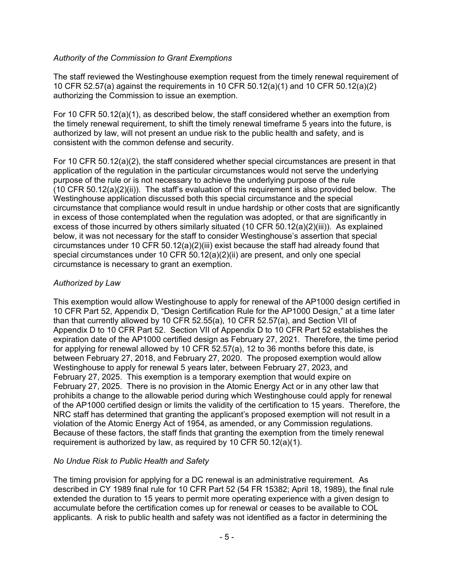## *Authority of the Commission to Grant Exemptions*

The staff reviewed the Westinghouse exemption request from the timely renewal requirement of 10 CFR 52.57(a) against the requirements in 10 CFR 50.12(a)(1) and 10 CFR 50.12(a)(2) authorizing the Commission to issue an exemption.

For 10 CFR 50.12(a)(1), as described below, the staff considered whether an exemption from the timely renewal requirement, to shift the timely renewal timeframe 5 years into the future, is authorized by law, will not present an undue risk to the public health and safety, and is consistent with the common defense and security.

For 10 CFR 50.12(a)(2), the staff considered whether special circumstances are present in that application of the regulation in the particular circumstances would not serve the underlying purpose of the rule or is not necessary to achieve the underlying purpose of the rule (10 CFR 50.12(a)(2)(ii)). The staff's evaluation of this requirement is also provided below. The Westinghouse application discussed both this special circumstance and the special circumstance that compliance would result in undue hardship or other costs that are significantly in excess of those contemplated when the regulation was adopted, or that are significantly in excess of those incurred by others similarly situated (10 CFR  $50.12(a)(2)(iii)$ ). As explained below, it was not necessary for the staff to consider Westinghouse's assertion that special circumstances under 10 CFR 50.12(a)(2)(iii) exist because the staff had already found that special circumstances under 10 CFR 50.12(a)(2)(ii) are present, and only one special circumstance is necessary to grant an exemption.

## *Authorized by Law*

This exemption would allow Westinghouse to apply for renewal of the AP1000 design certified in 10 CFR Part 52, Appendix D, "Design Certification Rule for the AP1000 Design," at a time later than that currently allowed by 10 CFR 52.55(a), 10 CFR 52.57(a), and Section VII of Appendix D to 10 CFR Part 52. Section VII of Appendix D to 10 CFR Part 52 establishes the expiration date of the AP1000 certified design as February 27, 2021. Therefore, the time period for applying for renewal allowed by 10 CFR 52.57(a), 12 to 36 months before this date, is between February 27, 2018, and February 27, 2020. The proposed exemption would allow Westinghouse to apply for renewal 5 years later, between February 27, 2023, and February 27, 2025. This exemption is a temporary exemption that would expire on February 27, 2025. There is no provision in the Atomic Energy Act or in any other law that prohibits a change to the allowable period during which Westinghouse could apply for renewal of the AP1000 certified design or limits the validity of the certification to 15 years. Therefore, the NRC staff has determined that granting the applicant's proposed exemption will not result in a violation of the Atomic Energy Act of 1954, as amended, or any Commission regulations. Because of these factors, the staff finds that granting the exemption from the timely renewal requirement is authorized by law, as required by 10 CFR 50.12(a)(1).

## *No Undue Risk to Public Health and Safety*

The timing provision for applying for a DC renewal is an administrative requirement. As described in CY 1989 final rule for 10 CFR Part 52 (54 FR 15382; April 18, 1989), the final rule extended the duration to 15 years to permit more operating experience with a given design to accumulate before the certification comes up for renewal or ceases to be available to COL applicants. A risk to public health and safety was not identified as a factor in determining the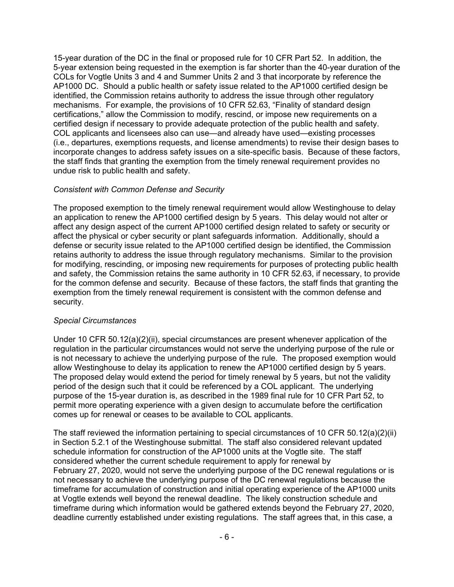15-year duration of the DC in the final or proposed rule for 10 CFR Part 52. In addition, the 5-year extension being requested in the exemption is far shorter than the 40-year duration of the COLs for Vogtle Units 3 and 4 and Summer Units 2 and 3 that incorporate by reference the AP1000 DC. Should a public health or safety issue related to the AP1000 certified design be identified, the Commission retains authority to address the issue through other regulatory mechanisms. For example, the provisions of 10 CFR 52.63, "Finality of standard design certifications," allow the Commission to modify, rescind, or impose new requirements on a certified design if necessary to provide adequate protection of the public health and safety. COL applicants and licensees also can use—and already have used—existing processes (i.e., departures, exemptions requests, and license amendments) to revise their design bases to incorporate changes to address safety issues on a site-specific basis. Because of these factors, the staff finds that granting the exemption from the timely renewal requirement provides no undue risk to public health and safety.

#### *Consistent with Common Defense and Security*

The proposed exemption to the timely renewal requirement would allow Westinghouse to delay an application to renew the AP1000 certified design by 5 years. This delay would not alter or affect any design aspect of the current AP1000 certified design related to safety or security or affect the physical or cyber security or plant safeguards information. Additionally, should a defense or security issue related to the AP1000 certified design be identified, the Commission retains authority to address the issue through regulatory mechanisms. Similar to the provision for modifying, rescinding, or imposing new requirements for purposes of protecting public health and safety, the Commission retains the same authority in 10 CFR 52.63, if necessary, to provide for the common defense and security. Because of these factors, the staff finds that granting the exemption from the timely renewal requirement is consistent with the common defense and security.

#### *Special Circumstances*

Under 10 CFR 50.12(a)(2)(ii), special circumstances are present whenever application of the regulation in the particular circumstances would not serve the underlying purpose of the rule or is not necessary to achieve the underlying purpose of the rule. The proposed exemption would allow Westinghouse to delay its application to renew the AP1000 certified design by 5 years. The proposed delay would extend the period for timely renewal by 5 years, but not the validity period of the design such that it could be referenced by a COL applicant. The underlying purpose of the 15-year duration is, as described in the 1989 final rule for 10 CFR Part 52, to permit more operating experience with a given design to accumulate before the certification comes up for renewal or ceases to be available to COL applicants.

The staff reviewed the information pertaining to special circumstances of 10 CFR 50.12(a)(2)(ii) in Section 5.2.1 of the Westinghouse submittal. The staff also considered relevant updated schedule information for construction of the AP1000 units at the Vogtle site. The staff considered whether the current schedule requirement to apply for renewal by February 27, 2020, would not serve the underlying purpose of the DC renewal regulations or is not necessary to achieve the underlying purpose of the DC renewal regulations because the timeframe for accumulation of construction and initial operating experience of the AP1000 units at Vogtle extends well beyond the renewal deadline. The likely construction schedule and timeframe during which information would be gathered extends beyond the February 27, 2020, deadline currently established under existing regulations. The staff agrees that, in this case, a